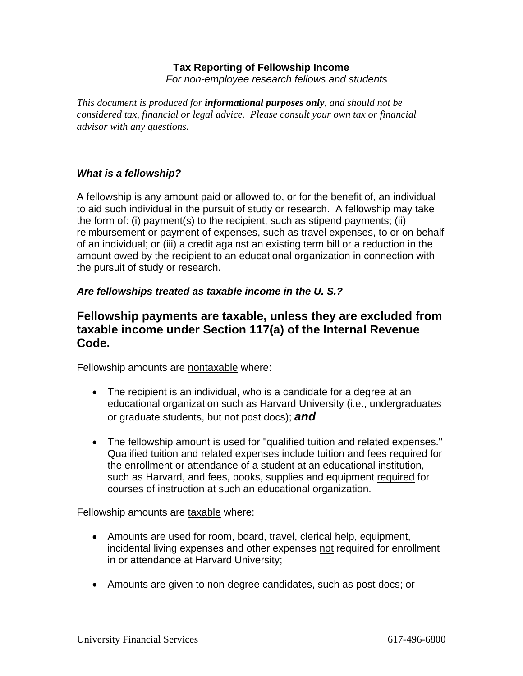# **Tax Reporting of Fellowship Income**

*For non-employee research fellows and students* 

*This document is produced for informational purposes only, and should not be considered tax, financial or legal advice. Please consult your own tax or financial advisor with any questions.* 

## *What is a fellowship?*

A fellowship is any amount paid or allowed to, or for the benefit of, an individual to aid such individual in the pursuit of study or research. A fellowship may take the form of: (i) payment(s) to the recipient, such as stipend payments; (ii) reimbursement or payment of expenses, such as travel expenses, to or on behalf of an individual; or (iii) a credit against an existing term bill or a reduction in the amount owed by the recipient to an educational organization in connection with the pursuit of study or research.

## *Are fellowships treated as taxable income in the U. S.?*

## **Fellowship payments are taxable, unless they are excluded from taxable income under Section 117(a) of the Internal Revenue Code.**

Fellowship amounts are nontaxable where:

- The recipient is an individual, who is a candidate for a degree at an educational organization such as Harvard University (i.e., undergraduates or graduate students, but not post docs); *and*
- The fellowship amount is used for "qualified tuition and related expenses." Qualified tuition and related expenses include tuition and fees required for the enrollment or attendance of a student at an educational institution, such as Harvard, and fees, books, supplies and equipment required for courses of instruction at such an educational organization.

Fellowship amounts are taxable where:

- Amounts are used for room, board, travel, clerical help, equipment, incidental living expenses and other expenses not required for enrollment in or attendance at Harvard University;
- Amounts are given to non-degree candidates, such as post docs; or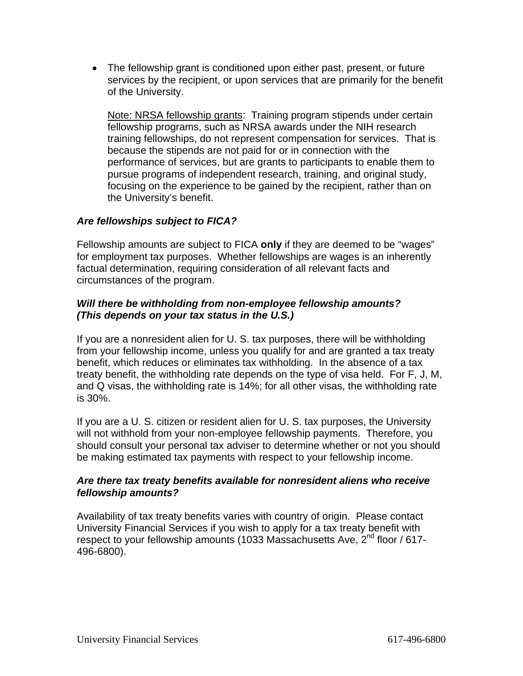• The fellowship grant is conditioned upon either past, present, or future services by the recipient, or upon services that are primarily for the benefit of the University.

Note: NRSA fellowship grants: Training program stipends under certain fellowship programs, such as NRSA awards under the NIH research training fellowships, do not represent compensation for services. That is because the stipends are not paid for or in connection with the performance of services, but are grants to participants to enable them to pursue programs of independent research, training, and original study, focusing on the experience to be gained by the recipient, rather than on the University's benefit.

## *Are fellowships subject to FICA?*

Fellowship amounts are subject to FICA **only** if they are deemed to be "wages" for employment tax purposes. Whether fellowships are wages is an inherently factual determination, requiring consideration of all relevant facts and circumstances of the program.

### *Will there be withholding from non-employee fellowship amounts? (This depends on your tax status in the U.S.)*

If you are a nonresident alien for U. S. tax purposes, there will be withholding from your fellowship income, unless you qualify for and are granted a tax treaty benefit, which reduces or eliminates tax withholding. In the absence of a tax treaty benefit, the withholding rate depends on the type of visa held. For F, J, M, and Q visas, the withholding rate is 14%; for all other visas, the withholding rate is 30%.

If you are a U. S. citizen or resident alien for U. S. tax purposes, the University will not withhold from your non-employee fellowship payments. Therefore, you should consult your personal tax adviser to determine whether or not you should be making estimated tax payments with respect to your fellowship income.

### *Are there tax treaty benefits available for nonresident aliens who receive fellowship amounts?*

Availability of tax treaty benefits varies with country of origin. Please contact University Financial Services if you wish to apply for a tax treaty benefit with respect to your fellowship amounts (1033 Massachusetts Ave, 2<sup>nd</sup> floor / 617-496-6800).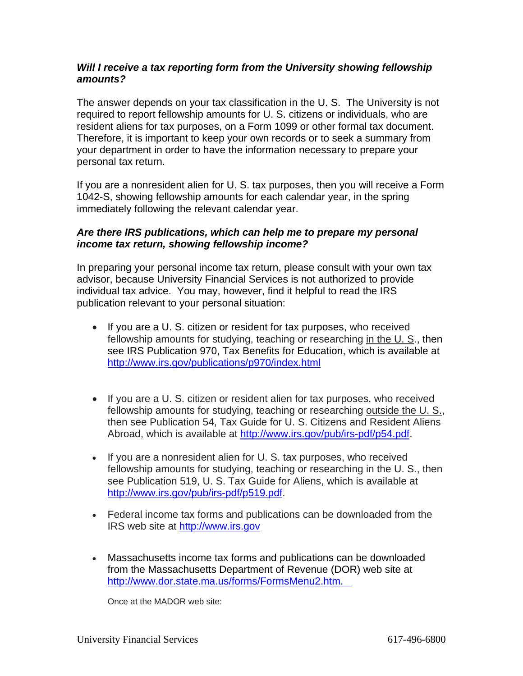#### *Will I receive a tax reporting form from the University showing fellowship amounts?*

The answer depends on your tax classification in the U. S. The University is not required to report fellowship amounts for U. S. citizens or individuals, who are resident aliens for tax purposes, on a Form 1099 or other formal tax document. Therefore, it is important to keep your own records or to seek a summary from your department in order to have the information necessary to prepare your personal tax return.

If you are a nonresident alien for U. S. tax purposes, then you will receive a Form 1042-S, showing fellowship amounts for each calendar year, in the spring immediately following the relevant calendar year.

### *Are there IRS publications, which can help me to prepare my personal income tax return, showing fellowship income?*

In preparing your personal income tax return, please consult with your own tax advisor, because University Financial Services is not authorized to provide individual tax advice. You may, however, find it helpful to read the IRS publication relevant to your personal situation:

- If you are a U. S. citizen or resident for tax purposes, who received fellowship amounts for studying, teaching or researching in the U. S., then see IRS Publication 970, Tax Benefits for Education, which is available at <http://www.irs.gov/publications/p970/index.html>
- If you are a U. S. citizen or resident alien for tax purposes, who received fellowship amounts for studying, teaching or researching outside the U. S., then see Publication 54, Tax Guide for U. S. Citizens and Resident Aliens Abroad, which is available at [http://www.irs.gov/pub/irs-pdf/p54.pdf.](http://www.irs.gov/pub/irs-pdf/p54.pdf)
- If you are a nonresident alien for U. S. tax purposes, who received fellowship amounts for studying, teaching or researching in the U. S., then see Publication 519, U. S. Tax Guide for Aliens, which is available at [http://www.irs.gov/pub/irs-pdf/p519.pdf.](http://www.irs.gov/pub/irs-pdf/p519.pdf)
- Federal income tax forms and publications can be downloaded from the IRS web site at [http://www.irs.gov](http://www.irs.gov/)
- Massachusetts income tax forms and publications can be downloaded from the Massachusetts Department of Revenue (DOR) web site at [http://www.dor.state.ma.us/forms/FormsMenu2.htm.](http://www.mass.gov/?pageID=dortopic&L=3&L0=Home&L1=Individuals+and+Families&L2=Personal+Income+Tax&sid=Ador)

Once at the MADOR web site: